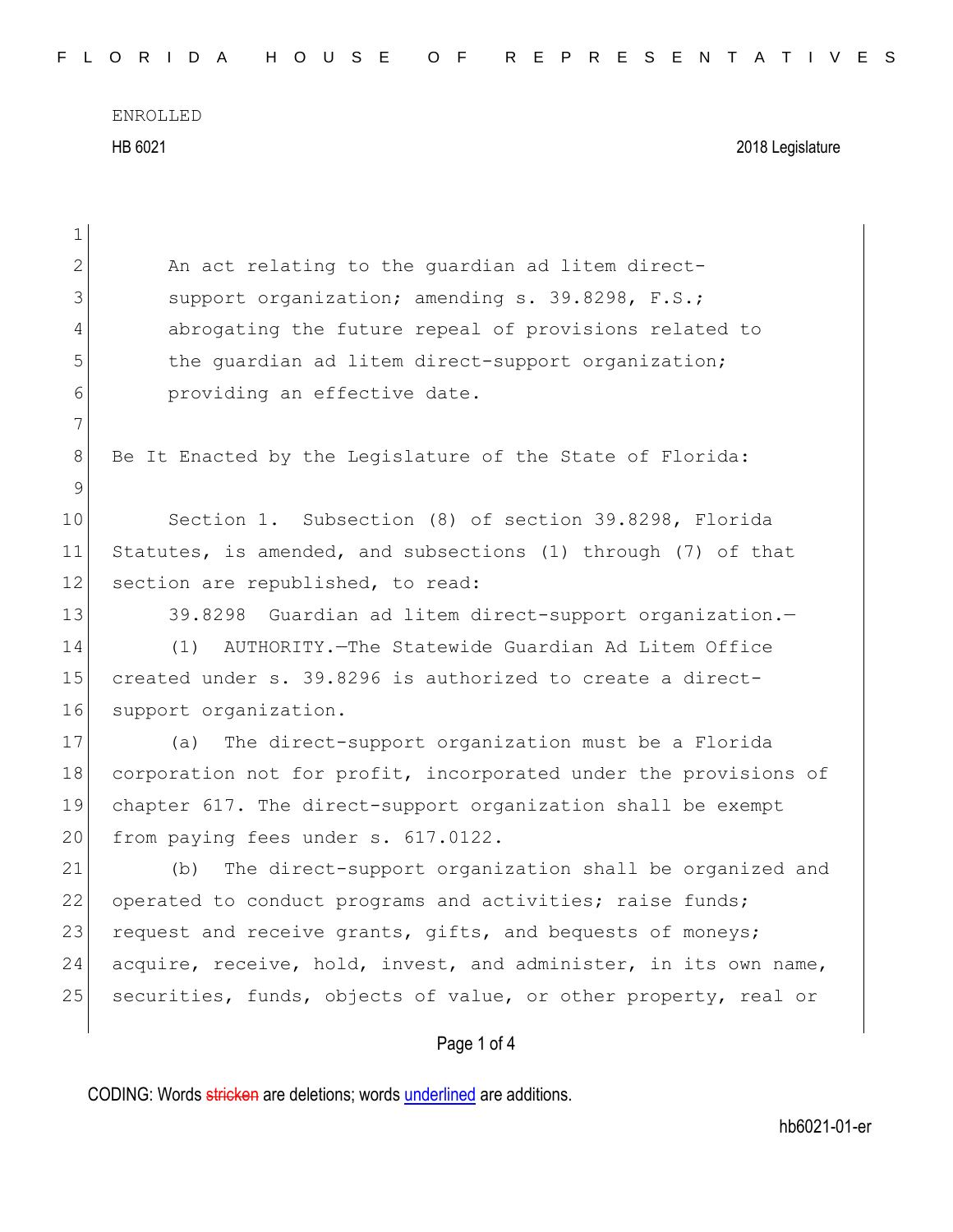Page 1 of 4  $\mathbf{1}$ 2 An act relating to the quardian ad litem direct-3 Support organization; amending s. 39.8298, F.S.; 4 abrogating the future repeal of provisions related to 5 the quardian ad litem direct-support organization; 6 **providing an effective date.** 7 8 Be It Enacted by the Legislature of the State of Florida: 9 10 Section 1. Subsection (8) of section 39.8298, Florida 11 Statutes, is amended, and subsections (1) through (7) of that 12 section are republished, to read: 13 39.8298 Guardian ad litem direct-support organization. 14 (1) AUTHORITY.—The Statewide Guardian Ad Litem Office 15 created under s. 39.8296 is authorized to create a direct-16 support organization. 17 (a) The direct-support organization must be a Florida 18 corporation not for profit, incorporated under the provisions of 19 chapter 617. The direct-support organization shall be exempt 20 from paying fees under s. 617.0122. 21 (b) The direct-support organization shall be organized and 22 operated to conduct programs and activities; raise funds; 23 request and receive grants, gifts, and bequests of moneys; 24 acquire, receive, hold, invest, and administer, in its own name, 25 securities, funds, objects of value, or other property, real or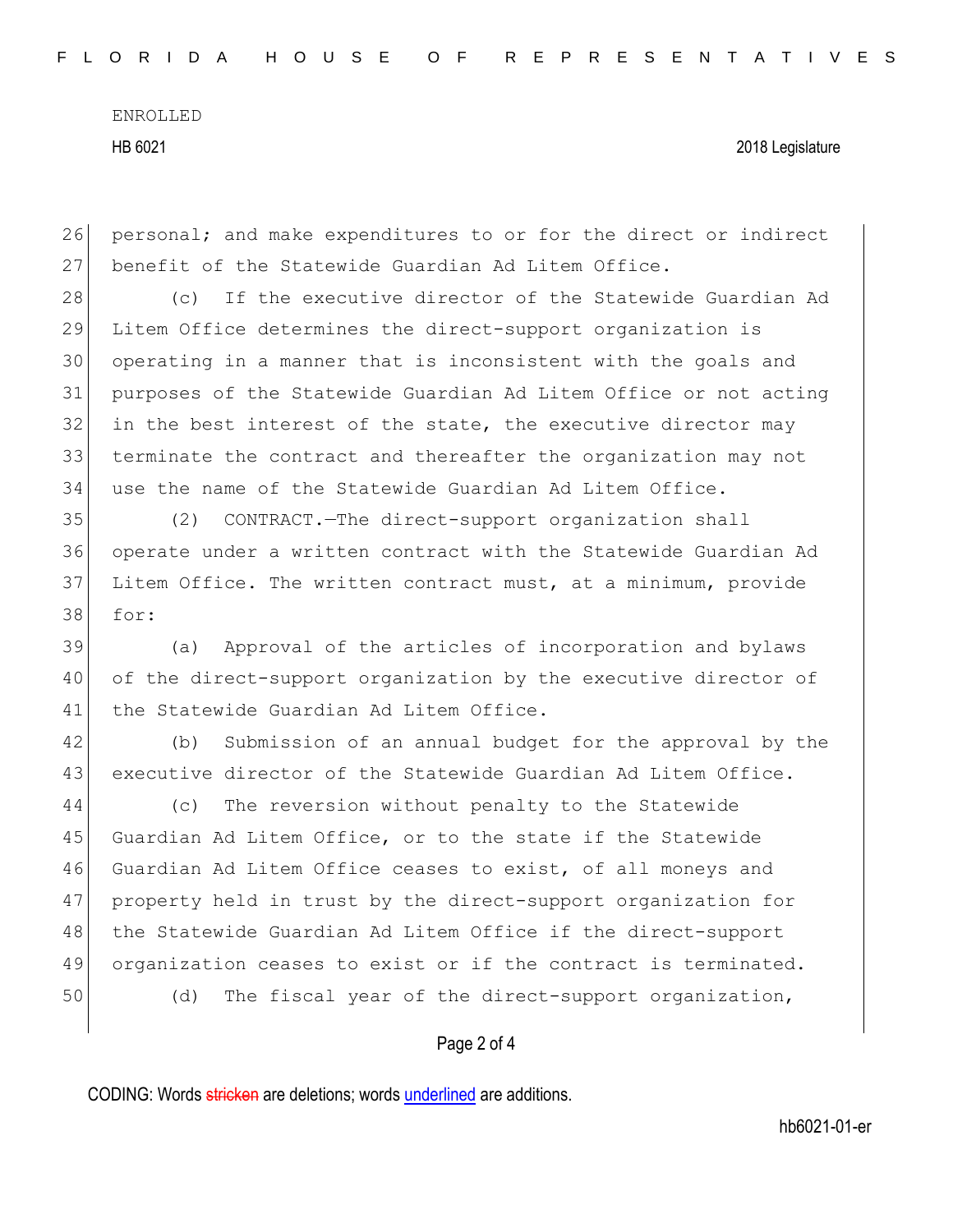26 personal; and make expenditures to or for the direct or indirect 27 benefit of the Statewide Guardian Ad Litem Office.

28 (c) If the executive director of the Statewide Guardian Ad Litem Office determines the direct-support organization is operating in a manner that is inconsistent with the goals and purposes of the Statewide Guardian Ad Litem Office or not acting 32 in the best interest of the state, the executive director may terminate the contract and thereafter the organization may not use the name of the Statewide Guardian Ad Litem Office.

 (2) CONTRACT.—The direct-support organization shall operate under a written contract with the Statewide Guardian Ad Litem Office. The written contract must, at a minimum, provide 38 for:

39 (a) Approval of the articles of incorporation and bylaws 40 of the direct-support organization by the executive director of 41 the Statewide Guardian Ad Litem Office.

42 (b) Submission of an annual budget for the approval by the 43 executive director of the Statewide Guardian Ad Litem Office.

44 (c) The reversion without penalty to the Statewide 45 Guardian Ad Litem Office, or to the state if the Statewide 46 Guardian Ad Litem Office ceases to exist, of all moneys and 47 property held in trust by the direct-support organization for 48 the Statewide Guardian Ad Litem Office if the direct-support 49 organization ceases to exist or if the contract is terminated. 50 (d) The fiscal year of the direct-support organization,

## Page 2 of 4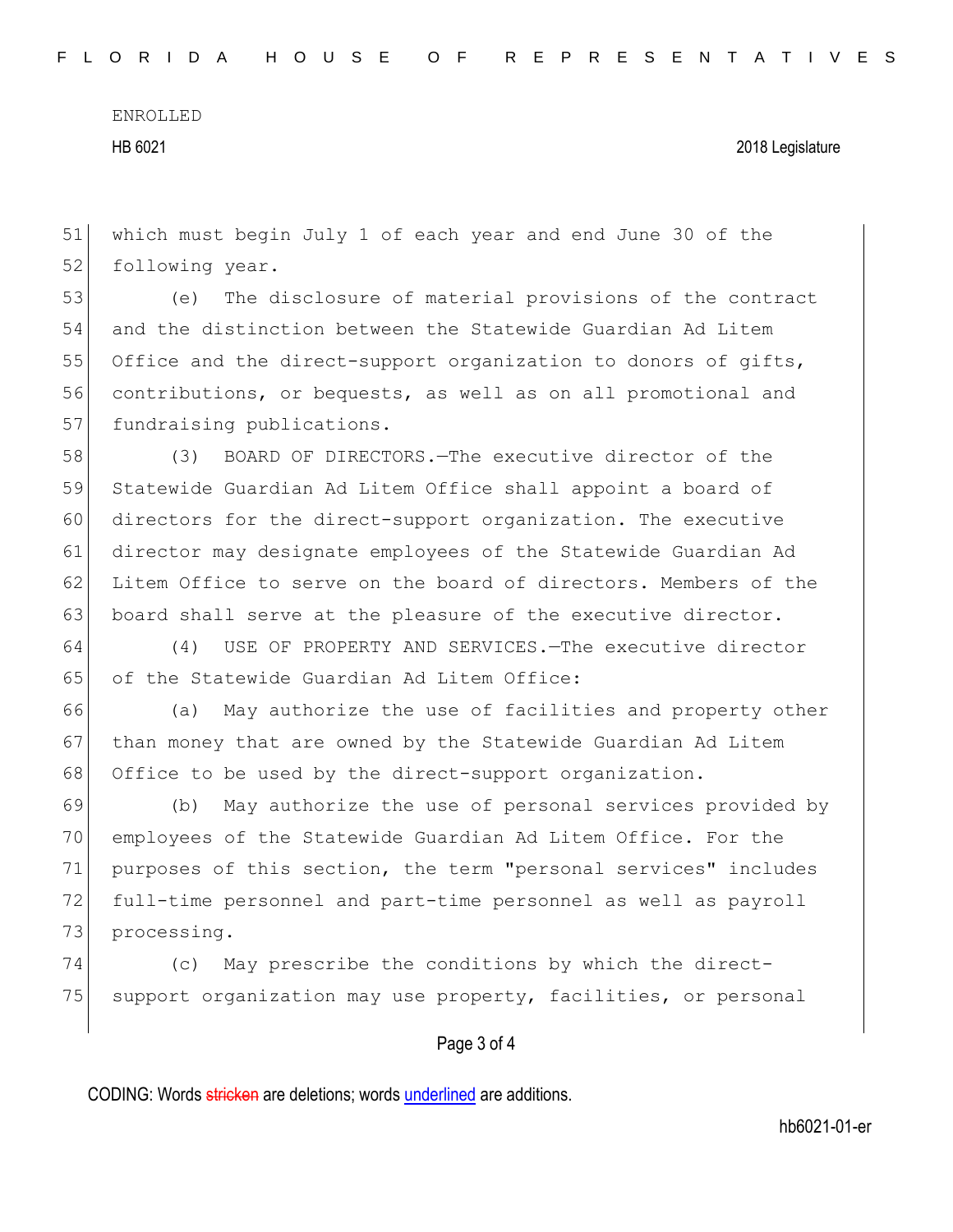51 which must begin July 1 of each year and end June 30 of the 52 following year.

53 (e) The disclosure of material provisions of the contract 54 and the distinction between the Statewide Guardian Ad Litem 55 Office and the direct-support organization to donors of gifts, 56 contributions, or bequests, as well as on all promotional and 57 fundraising publications.

58 (3) BOARD OF DIRECTORS.—The executive director of the 59 Statewide Guardian Ad Litem Office shall appoint a board of 60 directors for the direct-support organization. The executive 61 director may designate employees of the Statewide Guardian Ad 62 Litem Office to serve on the board of directors. Members of the 63 board shall serve at the pleasure of the executive director.

64 (4) USE OF PROPERTY AND SERVICES.—The executive director 65 of the Statewide Guardian Ad Litem Office:

66 (a) May authorize the use of facilities and property other 67 than money that are owned by the Statewide Guardian Ad Litem 68 Office to be used by the direct-support organization.

 (b) May authorize the use of personal services provided by employees of the Statewide Guardian Ad Litem Office. For the purposes of this section, the term "personal services" includes full-time personnel and part-time personnel as well as payroll 73 processing.

74 (c) May prescribe the conditions by which the direct-75 support organization may use property, facilities, or personal

## Page 3 of 4